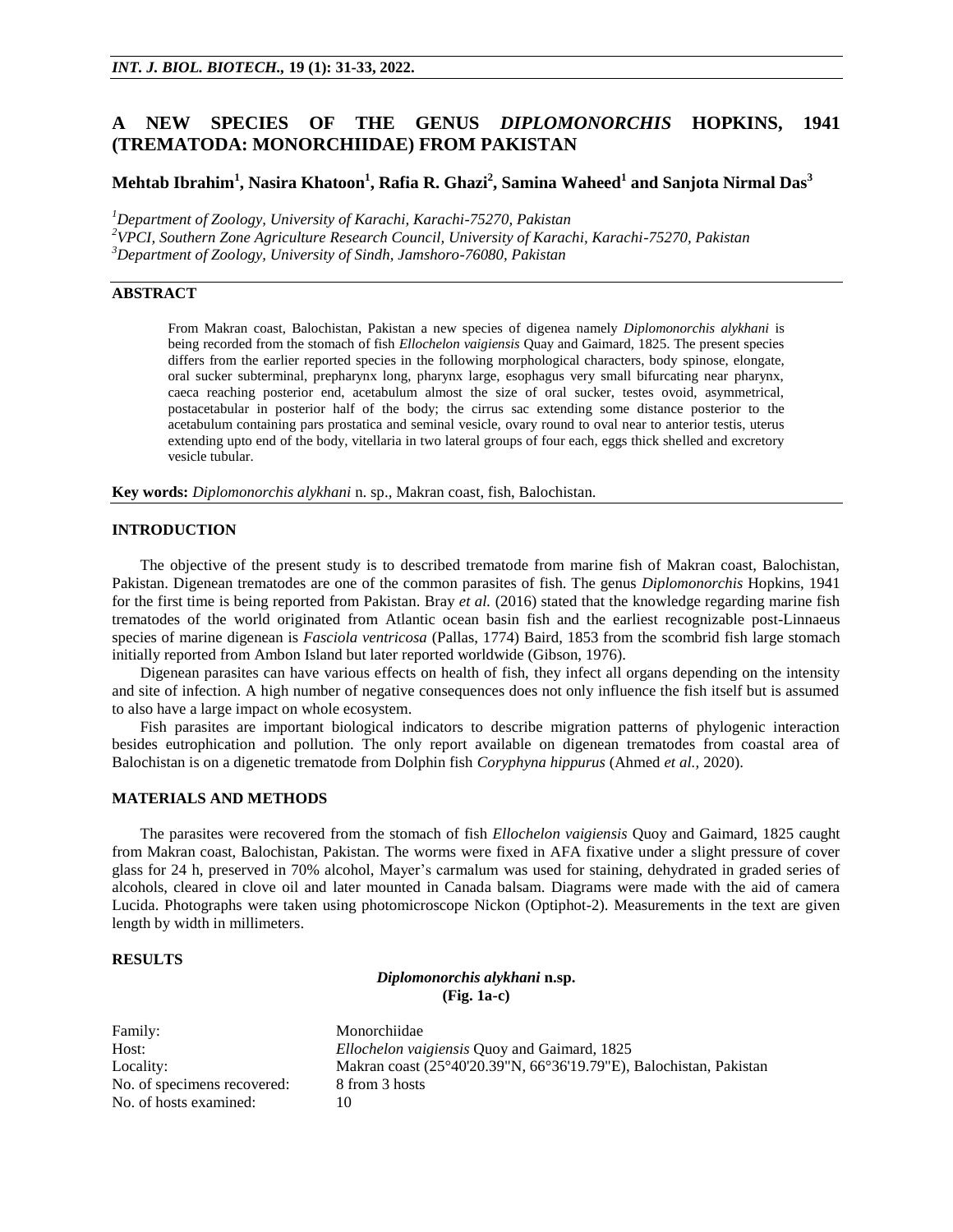# **A NEW SPECIES OF THE GENUS** *DIPLOMONORCHIS* **HOPKINS, 1941 (TREMATODA: MONORCHIIDAE) FROM PAKISTAN**

## **Mehtab Ibrahim<sup>1</sup> , Nasira Khatoon<sup>1</sup> , Rafia R. Ghazi<sup>2</sup> , Samina Waheed<sup>1</sup> and Sanjota Nirmal Das<sup>3</sup>**

*<sup>1</sup>Department of Zoology, University of Karachi, Karachi-75270, Pakistan*

*<sup>2</sup>VPCI, Southern Zone Agriculture Research Council, University of Karachi, Karachi-75270, Pakistan*

*<sup>3</sup>Department of Zoology, University of Sindh, Jamshoro-76080, Pakistan*

## **ABSTRACT**

From Makran coast, Balochistan, Pakistan a new species of digenea namely *Diplomonorchis alykhani* is being recorded from the stomach of fish *Ellochelon vaigiensis* Quay and Gaimard, 1825. The present species differs from the earlier reported species in the following morphological characters, body spinose, elongate, oral sucker subterminal, prepharynx long, pharynx large, esophagus very small bifurcating near pharynx, caeca reaching posterior end, acetabulum almost the size of oral sucker, testes ovoid, asymmetrical, postacetabular in posterior half of the body; the cirrus sac extending some distance posterior to the acetabulum containing pars prostatica and seminal vesicle, ovary round to oval near to anterior testis, uterus extending upto end of the body, vitellaria in two lateral groups of four each, eggs thick shelled and excretory vesicle tubular.

**Key words:** *Diplomonorchis alykhani* n. sp., Makran coast, fish, Balochistan.

### **INTRODUCTION**

The objective of the present study is to described trematode from marine fish of Makran coast, Balochistan, Pakistan. Digenean trematodes are one of the common parasites of fish. The genus *Diplomonorchis* Hopkins, 1941 for the first time is being reported from Pakistan. Bray *et al.* (2016) stated that the knowledge regarding marine fish trematodes of the world originated from Atlantic ocean basin fish and the earliest recognizable post-Linnaeus species of marine digenean is *Fasciola ventricosa* (Pallas, 1774) Baird, 1853 from the scombrid fish large stomach initially reported from Ambon Island but later reported worldwide (Gibson, 1976).

Digenean parasites can have various effects on health of fish, they infect all organs depending on the intensity and site of infection. A high number of negative consequences does not only influence the fish itself but is assumed to also have a large impact on whole ecosystem.

Fish parasites are important biological indicators to describe migration patterns of phylogenic interaction besides eutrophication and pollution. The only report available on digenean trematodes from coastal area of Balochistan is on a digenetic trematode from Dolphin fish *Coryphyna hippurus* (Ahmed *et al.,* 2020).

## **MATERIALS AND METHODS**

The parasites were recovered from the stomach of fish *Ellochelon vaigiensis* Quoy and Gaimard, 1825 caught from Makran coast, Balochistan, Pakistan. The worms were fixed in AFA fixative under a slight pressure of cover glass for 24 h, preserved in 70% alcohol, Mayer's carmalum was used for staining, dehydrated in graded series of alcohols, cleared in clove oil and later mounted in Canada balsam. Diagrams were made with the aid of camera Lucida. Photographs were taken using photomicroscope Nickon (Optiphot-2). Measurements in the text are given length by width in millimeters.

#### **RESULTS**

*Diplomonorchis alykhani* **n.sp. (Fig. 1a-c)**

Family: Monorchiidae No. of specimens recovered: 8 from 3 hosts No. of hosts examined: 10

Host: *Ellochelon vaigiensis* Quoy and Gaimard, 1825 Locality: Makran coast (25°40'20.39"N, 66°36'19.79"E), Balochistan, Pakistan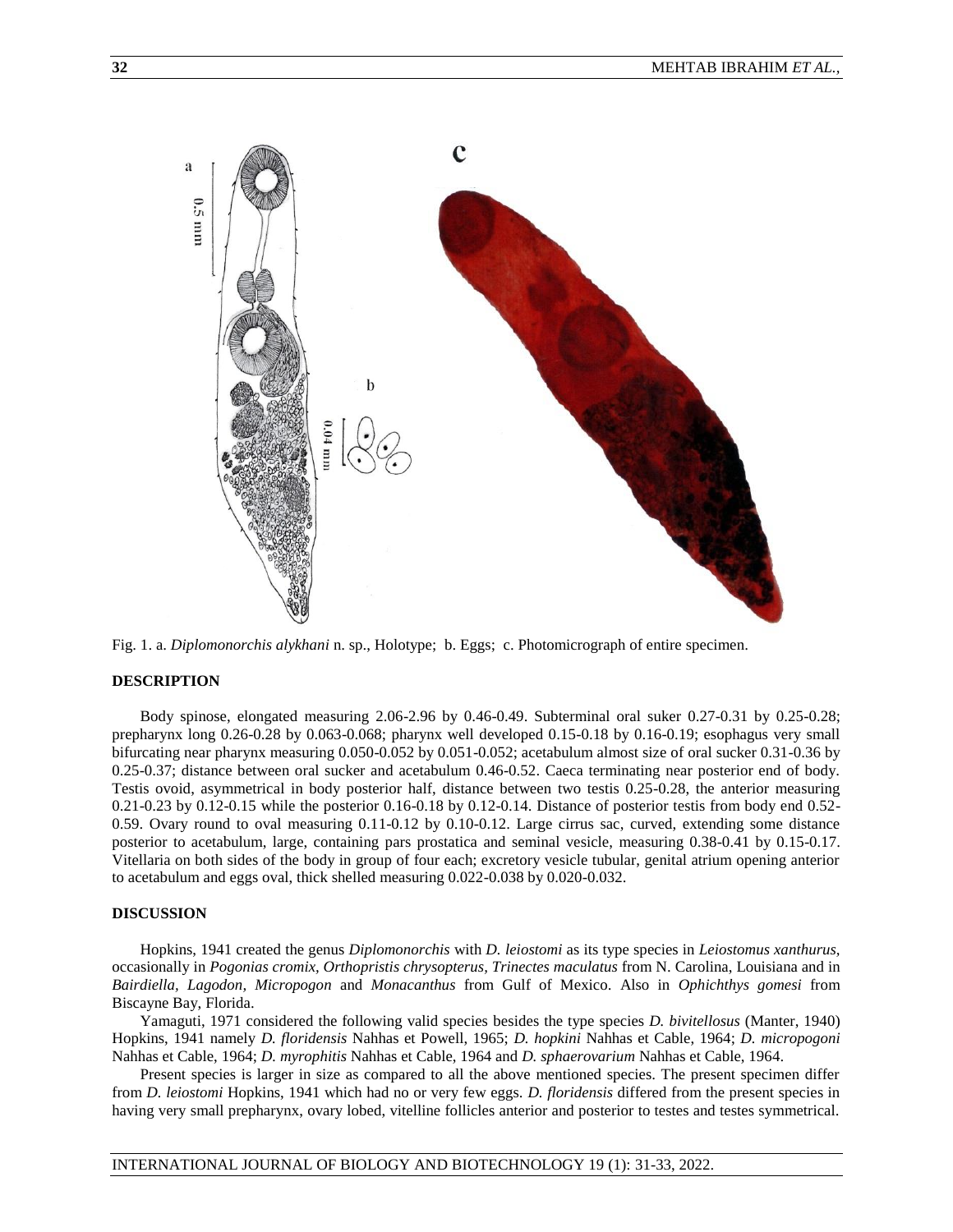

Fig. 1. a. *Diplomonorchis alykhani* n. sp., Holotype; b. Eggs; c. Photomicrograph of entire specimen.

## **DESCRIPTION**

Body spinose, elongated measuring 2.06-2.96 by 0.46-0.49. Subterminal oral suker 0.27-0.31 by 0.25-0.28; prepharynx long 0.26-0.28 by 0.063-0.068; pharynx well developed 0.15-0.18 by 0.16-0.19; esophagus very small bifurcating near pharynx measuring 0.050-0.052 by 0.051-0.052; acetabulum almost size of oral sucker 0.31-0.36 by 0.25-0.37; distance between oral sucker and acetabulum 0.46-0.52. Caeca terminating near posterior end of body. Testis ovoid, asymmetrical in body posterior half, distance between two testis 0.25-0.28, the anterior measuring 0.21-0.23 by 0.12-0.15 while the posterior 0.16-0.18 by 0.12-0.14. Distance of posterior testis from body end 0.52- 0.59. Ovary round to oval measuring 0.11-0.12 by 0.10-0.12. Large cirrus sac, curved, extending some distance posterior to acetabulum, large, containing pars prostatica and seminal vesicle, measuring 0.38-0.41 by 0.15-0.17. Vitellaria on both sides of the body in group of four each; excretory vesicle tubular, genital atrium opening anterior to acetabulum and eggs oval, thick shelled measuring 0.022-0.038 by 0.020-0.032.

#### **DISCUSSION**

Hopkins, 1941 created the genus *Diplomonorchis* with *D. leiostomi* as its type species in *Leiostomus xanthurus,*  occasionally in *Pogonias cromix, Orthopristis chrysopterus, Trinectes maculatus* from N. Carolina, Louisiana and in *Bairdiella, Lagodon, Micropogon* and *Monacanthus* from Gulf of Mexico. Also in *Ophichthys gomesi* from Biscayne Bay, Florida.

Yamaguti, 1971 considered the following valid species besides the type species *D. bivitellosus* (Manter, 1940) Hopkins, 1941 namely *D. floridensis* Nahhas et Powell, 1965; *D. hopkini* Nahhas et Cable, 1964; *D. micropogoni*  Nahhas et Cable, 1964; *D. myrophitis* Nahhas et Cable, 1964 and *D. sphaerovarium* Nahhas et Cable, 1964.

Present species is larger in size as compared to all the above mentioned species. The present specimen differ from *D. leiostomi* Hopkins, 1941 which had no or very few eggs. *D. floridensis* differed from the present species in having very small prepharynx, ovary lobed, vitelline follicles anterior and posterior to testes and testes symmetrical.